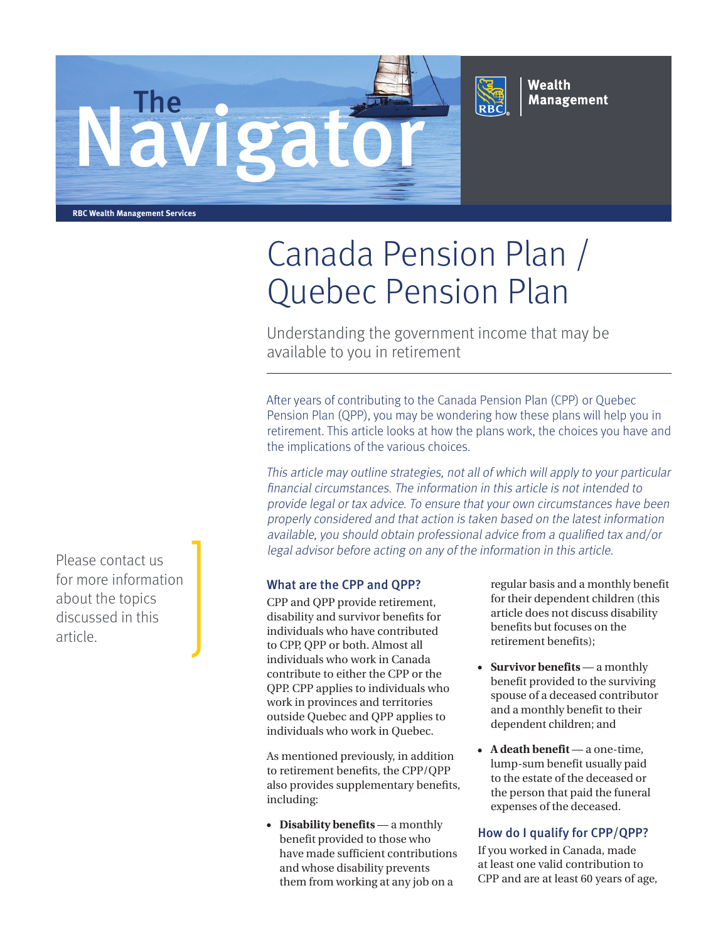



Wealth **Management** 

**RBC Wealth Management Services**

## Canada Pension Plan / Quebec Pension Plan

Understanding the government income that may be available to you in retirement

After years of contributing to the Canada Pension Plan (CPP) or Quebec Pension Plan (QPP), you may be wondering how these plans will help you in retirement. This article looks at how the plans work, the choices you have and the implications of the various choices.

This article may outline strategies, not all of which will apply to your particular financial circumstances. The information in this article is not intended to provide legal or tax advice. To ensure that your own circumstances have been properly considered and that action is taken based on the latest information available, you should obtain professional advice from a qualified tax and/or legal advisor before acting on any of the information in this article.

## What are the CPP and QPP?

CPP and QPP provide retirement, disability and survivor benefits for individuals who have contributed to CPP, QPP or both. Almost all individuals who work in Canada contribute to either the CPP or the QPP. CPP applies to individuals who work in provinces and territories outside Quebec and QPP applies to individuals who work in Quebec.

As mentioned previously, in addition to retirement benefits, the CPP/QPP also provides supplementary benefits, including:

• **Disability benefits** — a monthly benefit provided to those who have made sufficient contributions and whose disability prevents them from working at any job on a

regular basis and a monthly benefit for their dependent children (this article does not discuss disability benefits but focuses on the retirement benefits);

- **Survivor benefits** a monthly benefit provided to the surviving spouse of a deceased contributor and a monthly benefit to their dependent children; and
- **A death benefit** a one-time, lump-sum benefit usually paid to the estate of the deceased or the person that paid the funeral expenses of the deceased.

## How do I qualify for CPP/QPP?

If you worked in Canada, made at least one valid contribution to CPP and are at least 60 years of age,

Please contact us for more information about the topics discussed in this article.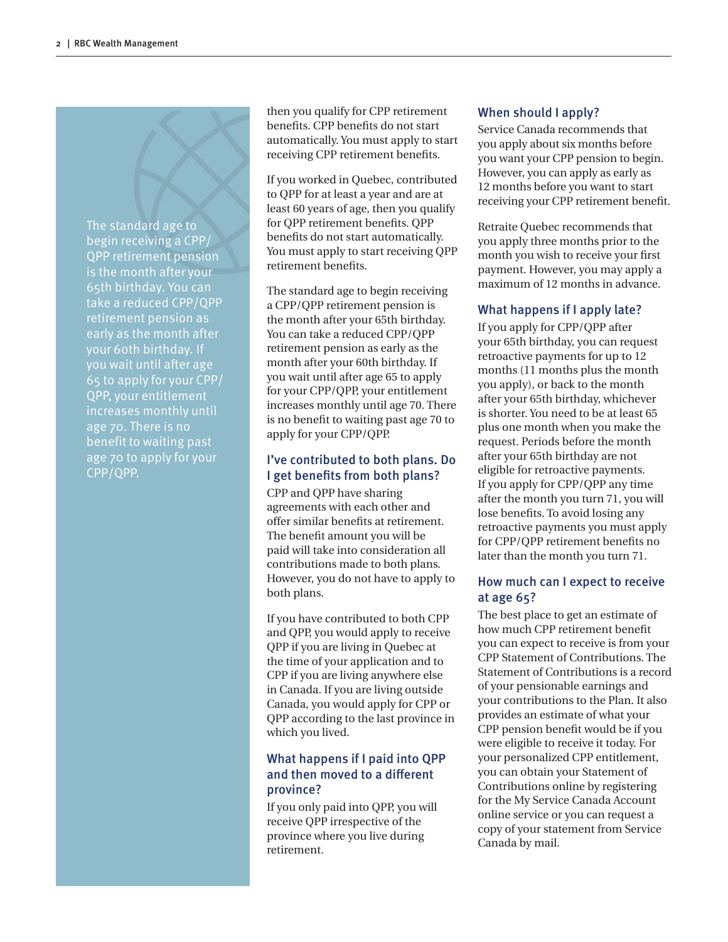The standard age to begin receiving a CPP/ QPP retirement pension is the month after your 65th birthday. You can take a reduced CPP/QPP retirement pension as your 60th birthday. If you wait until after age 65 to apply for your CPP/ QPP, your entitlement increases monthly until age 70. There is no benefit to waiting past age 70 to apply for your CPP/QPP.

then you qualify for CPP retirement benefits. CPP benefits do not start automatically. You must apply to start receiving CPP retirement benefits.

If you worked in Quebec, contributed to QPP for at least a year and are at least 60 years of age, then you qualify for QPP retirement benefits. QPP benefits do not start automatically. You must apply to start receiving QPP retirement benefits.

The standard age to begin receiving a CPP/QPP retirement pension is the month after your 65th birthday. You can take a reduced CPP/QPP retirement pension as early as the month after your 60th birthday. If you wait until after age 65 to apply for your CPP/QPP, your entitlement increases monthly until age 70. There is no benefit to waiting past age 70 to apply for your CPP/QPP.

## I've contributed to both plans. Do I get benefits from both plans?

CPP and QPP have sharing agreements with each other and offer similar benefits at retirement. The benefit amount you will be paid will take into consideration all contributions made to both plans. However, you do not have to apply to both plans.

If you have contributed to both CPP and QPP, you would apply to receive QPP if you are living in Quebec at the time of your application and to CPP if you are living anywhere else in Canada. If you are living outside Canada, you would apply for CPP or QPP according to the last province in which you lived.

## What happens if I paid into QPP and then moved to a different province?

If you only paid into QPP, you will receive QPP irrespective of the province where you live during retirement.

## When should I apply?

Service Canada recommends that you apply about six months before you want your CPP pension to begin. However, you can apply as early as 12 months before you want to start receiving your CPP retirement benefit.

Retraite Quebec recommends that you apply three months prior to the month you wish to receive your first payment. However, you may apply a maximum of 12 months in advance.

## What happens if I apply late?

If you apply for CPP/QPP after your 65th birthday, you can request retroactive payments for up to 12 months (11 months plus the month you apply), or back to the month after your 65th birthday, whichever is shorter. You need to be at least 65 plus one month when you make the request. Periods before the month after your 65th birthday are not eligible for retroactive payments. If you apply for CPP/QPP any time after the month you turn 71, you will lose benefits. To avoid losing any retroactive payments you must apply for CPP/QPP retirement benefits no later than the month you turn 71.

## How much can I expect to receive at age 65?

The best place to get an estimate of how much CPP retirement benefit you can expect to receive is from your CPP Statement of Contributions. The Statement of Contributions is a record of your pensionable earnings and your contributions to the Plan. It also provides an estimate of what your CPP pension benefit would be if you were eligible to receive it today. For your personalized CPP entitlement, you can obtain your Statement of Contributions online by registering for the My Service Canada Account online service or you can request a copy of your statement from Service Canada by mail.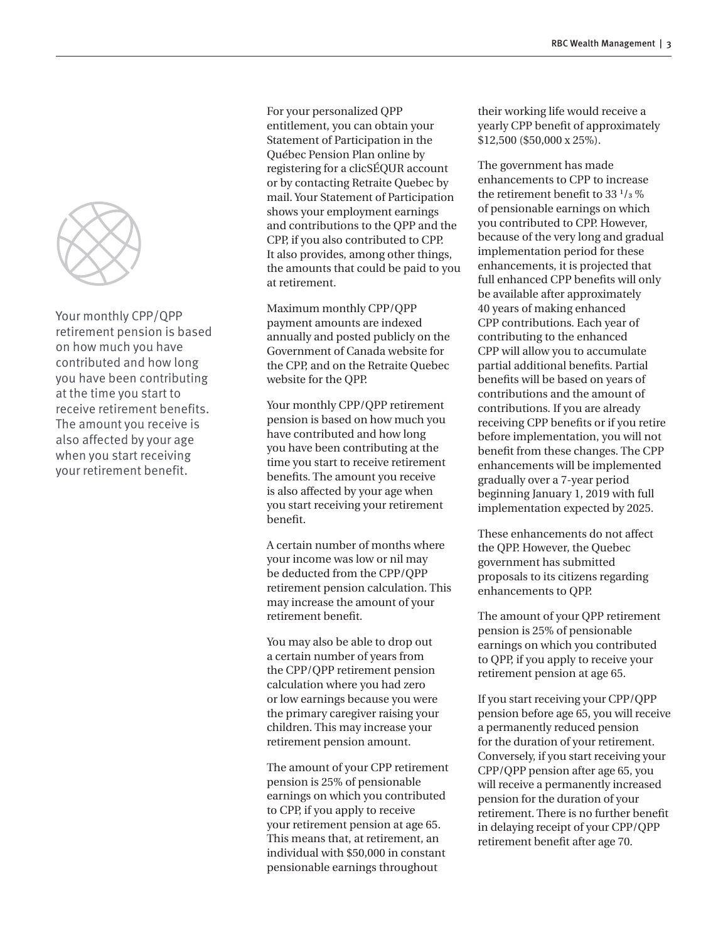

Your monthly CPP/QPP retirement pension is based on how much you have contributed and how long you have been contributing at the time you start to receive retirement benefits. The amount you receive is also affected by your age when you start receiving your retirement benefit.

For your personalized QPP entitlement, you can obtain your Statement of Participation in the Québec Pension Plan online by registering for a clicSÉQUR account or by contacting Retraite Quebec by mail. Your Statement of Participation shows your employment earnings and contributions to the QPP and the CPP, if you also contributed to CPP. It also provides, among other things, the amounts that could be paid to you at retirement.

Maximum monthly CPP/QPP payment amounts are indexed annually and posted publicly on the Government of Canada website for the CPP, and on the Retraite Quebec website for the QPP.

Your monthly CPP/QPP retirement pension is based on how much you have contributed and how long you have been contributing at the time you start to receive retirement benefits. The amount you receive is also affected by your age when you start receiving your retirement benefit.

A certain number of months where your income was low or nil may be deducted from the CPP/QPP retirement pension calculation. This may increase the amount of your retirement benefit.

You may also be able to drop out a certain number of years from the CPP/QPP retirement pension calculation where you had zero or low earnings because you were the primary caregiver raising your children. This may increase your retirement pension amount.

The amount of your CPP retirement pension is 25% of pensionable earnings on which you contributed to CPP, if you apply to receive your retirement pension at age 65. This means that, at retirement, an individual with \$50,000 in constant pensionable earnings throughout

their working life would receive a yearly CPP benefit of approximately \$12,500 (\$50,000 x 25%).

The government has made enhancements to CPP to increase the retirement benefit to 33 **<sup>1</sup>** /**3** % of pensionable earnings on which you contributed to CPP. However, because of the very long and gradual implementation period for these enhancements, it is projected that full enhanced CPP benefits will only be available after approximately 40 years of making enhanced CPP contributions. Each year of contributing to the enhanced CPP will allow you to accumulate partial additional benefits. Partial benefits will be based on years of contributions and the amount of contributions. If you are already receiving CPP benefits or if you retire before implementation, you will not benefit from these changes. The CPP enhancements will be implemented gradually over a 7-year period beginning January 1, 2019 with full implementation expected by 2025.

These enhancements do not affect the QPP. However, the Quebec government has submitted proposals to its citizens regarding enhancements to QPP.

The amount of your QPP retirement pension is 25% of pensionable earnings on which you contributed to QPP, if you apply to receive your retirement pension at age 65.

If you start receiving your CPP/QPP pension before age 65, you will receive a permanently reduced pension for the duration of your retirement. Conversely, if you start receiving your CPP/QPP pension after age 65, you will receive a permanently increased pension for the duration of your retirement. There is no further benefit in delaying receipt of your CPP/QPP retirement benefit after age 70.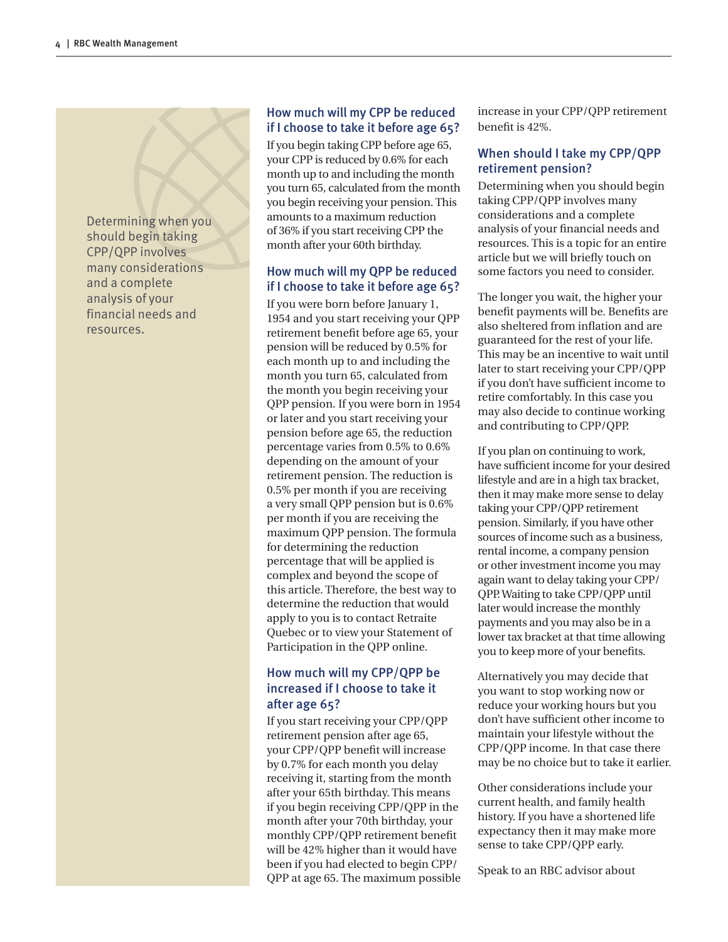Determining when you should begin taking CPP/QPP involves many considerations and a complete analysis of your financial needs and resources.

#### How much will my CPP be reduced if I choose to take it before age 65?

If you begin taking CPP before age 65, your CPP is reduced by 0.6% for each month up to and including the month you turn 65, calculated from the month you begin receiving your pension. This amounts to a maximum reduction of 36% if you start receiving CPP the month after your 60th birthday.

### How much will my QPP be reduced if I choose to take it before age 65?

If you were born before January 1, 1954 and you start receiving your QPP retirement benefit before age 65, your pension will be reduced by 0.5% for each month up to and including the month you turn 65, calculated from the month you begin receiving your QPP pension. If you were born in 1954 or later and you start receiving your pension before age 65, the reduction percentage varies from 0.5% to 0.6% depending on the amount of your retirement pension. The reduction is 0.5% per month if you are receiving a very small QPP pension but is 0.6% per month if you are receiving the maximum QPP pension. The formula for determining the reduction percentage that will be applied is complex and beyond the scope of this article. Therefore, the best way to determine the reduction that would apply to you is to contact Retraite Quebec or to view your Statement of Participation in the QPP online.

## How much will my CPP/QPP be increased if I choose to take it after age 65?

If you start receiving your CPP/QPP retirement pension after age 65, your CPP/QPP benefit will increase by 0.7% for each month you delay receiving it, starting from the month after your 65th birthday. This means if you begin receiving CPP/QPP in the month after your 70th birthday, your monthly CPP/QPP retirement benefit will be 42% higher than it would have been if you had elected to begin CPP/ QPP at age 65. The maximum possible increase in your CPP/QPP retirement benefit is 42%.

#### When should I take my CPP/QPP retirement pension?

Determining when you should begin taking CPP/QPP involves many considerations and a complete analysis of your financial needs and resources. This is a topic for an entire article but we will briefly touch on some factors you need to consider.

The longer you wait, the higher your benefit payments will be. Benefits are also sheltered from inflation and are guaranteed for the rest of your life. This may be an incentive to wait until later to start receiving your CPP/QPP if you don't have sufficient income to retire comfortably. In this case you may also decide to continue working and contributing to CPP/QPP.

If you plan on continuing to work, have sufficient income for your desired lifestyle and are in a high tax bracket, then it may make more sense to delay taking your CPP/QPP retirement pension. Similarly, if you have other sources of income such as a business, rental income, a company pension or other investment income you may again want to delay taking your CPP/ QPP. Waiting to take CPP/QPP until later would increase the monthly payments and you may also be in a lower tax bracket at that time allowing you to keep more of your benefits.

Alternatively you may decide that you want to stop working now or reduce your working hours but you don't have sufficient other income to maintain your lifestyle without the CPP/QPP income. In that case there may be no choice but to take it earlier.

Other considerations include your current health, and family health history. If you have a shortened life expectancy then it may make more sense to take CPP/QPP early.

Speak to an RBC advisor about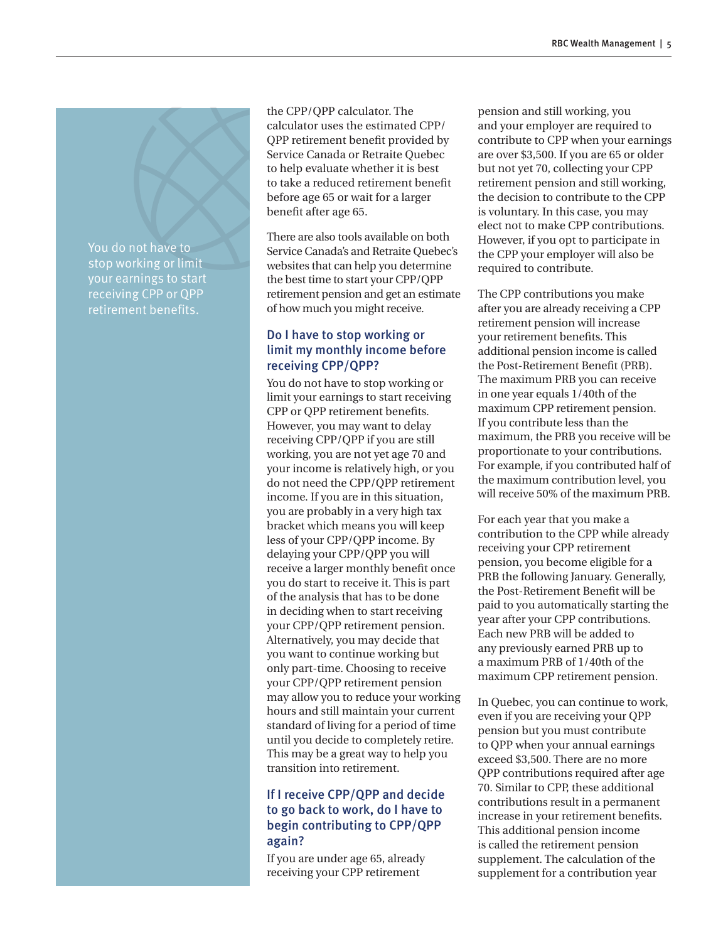You do not have to stop working or limit your earnings to start receiving CPP or QPP retirement benefits.

the CPP/QPP calculator. The calculator uses the estimated CPP/ QPP retirement benefit provided by Service Canada or Retraite Quebec to help evaluate whether it is best to take a reduced retirement benefit before age 65 or wait for a larger benefit after age 65.

There are also tools available on both Service Canada's and Retraite Quebec's websites that can help you determine the best time to start your CPP/QPP retirement pension and get an estimate of how much you might receive.

## Do I have to stop working or limit my monthly income before receiving CPP/QPP?

You do not have to stop working or limit your earnings to start receiving CPP or QPP retirement benefits. However, you may want to delay receiving CPP/QPP if you are still working, you are not yet age 70 and your income is relatively high, or you do not need the CPP/QPP retirement income. If you are in this situation, you are probably in a very high tax bracket which means you will keep less of your CPP/QPP income. By delaying your CPP/QPP you will receive a larger monthly benefit once you do start to receive it. This is part of the analysis that has to be done in deciding when to start receiving your CPP/QPP retirement pension. Alternatively, you may decide that you want to continue working but only part-time. Choosing to receive your CPP/QPP retirement pension may allow you to reduce your working hours and still maintain your current standard of living for a period of time until you decide to completely retire. This may be a great way to help you transition into retirement.

### If I receive CPP/QPP and decide to go back to work, do I have to begin contributing to CPP/QPP again?

If you are under age 65, already receiving your CPP retirement

pension and still working, you and your employer are required to contribute to CPP when your earnings are over \$3,500. If you are 65 or older but not yet 70, collecting your CPP retirement pension and still working, the decision to contribute to the CPP is voluntary. In this case, you may elect not to make CPP contributions. However, if you opt to participate in the CPP your employer will also be required to contribute.

The CPP contributions you make after you are already receiving a CPP retirement pension will increase your retirement benefits. This additional pension income is called the Post-Retirement Benefit (PRB). The maximum PRB you can receive in one year equals 1/40th of the maximum CPP retirement pension. If you contribute less than the maximum, the PRB you receive will be proportionate to your contributions. For example, if you contributed half of the maximum contribution level, you will receive 50% of the maximum PRB.

For each year that you make a contribution to the CPP while already receiving your CPP retirement pension, you become eligible for a PRB the following January. Generally, the Post-Retirement Benefit will be paid to you automatically starting the year after your CPP contributions. Each new PRB will be added to any previously earned PRB up to a maximum PRB of 1/40th of the maximum CPP retirement pension.

In Quebec, you can continue to work, even if you are receiving your QPP pension but you must contribute to QPP when your annual earnings exceed \$3,500. There are no more QPP contributions required after age 70. Similar to CPP, these additional contributions result in a permanent increase in your retirement benefits. This additional pension income is called the retirement pension supplement. The calculation of the supplement for a contribution year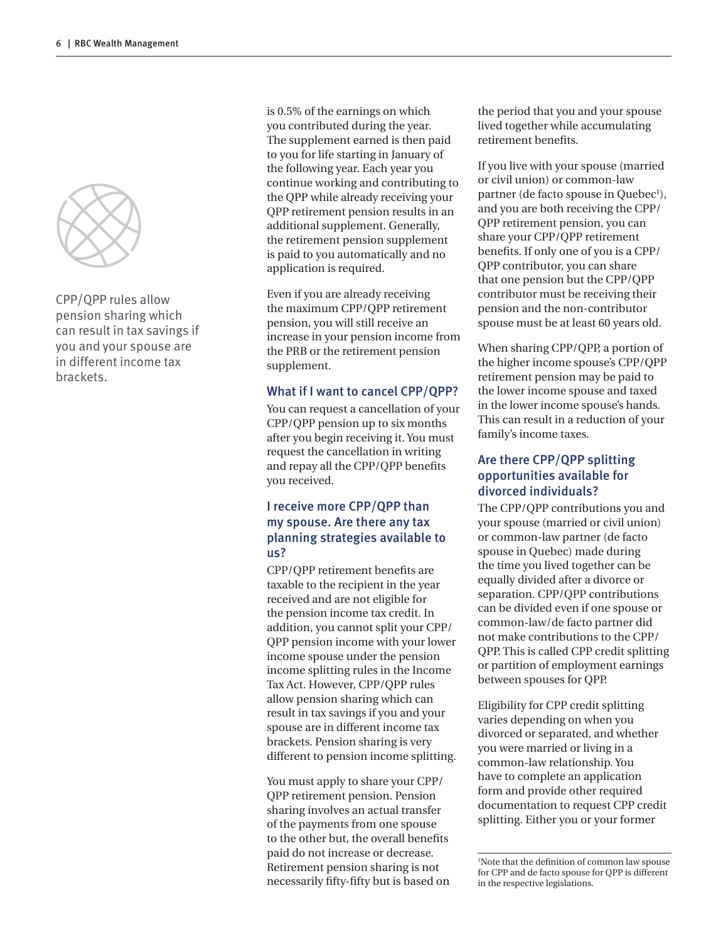

CPP/QPP rules allow pension sharing which can result in tax savings if you and your spouse are in different income tax brackets.

is 0.5% of the earnings on which you contributed during the year. The supplement earned is then paid to you for life starting in January of the following year. Each year you continue working and contributing to the QPP while already receiving your QPP retirement pension results in an additional supplement. Generally, the retirement pension supplement is paid to you automatically and no application is required.

Even if you are already receiving the maximum CPP/QPP retirement pension, you will still receive an increase in your pension income from the PRB or the retirement pension supplement.

#### What if I want to cancel CPP/QPP?

You can request a cancellation of your CPP/QPP pension up to six months after you begin receiving it. You must request the cancellation in writing and repay all the CPP/QPP benefits you received.

### I receive more CPP/QPP than my spouse. Are there any tax planning strategies available to us?

CPP/QPP retirement benefits are taxable to the recipient in the year received and are not eligible for the pension income tax credit. In addition, you cannot split your CPP/ QPP pension income with your lower income spouse under the pension income splitting rules in the Income Tax Act. However, CPP/QPP rules allow pension sharing which can result in tax savings if you and your spouse are in different income tax brackets. Pension sharing is very different to pension income splitting.

You must apply to share your CPP/ QPP retirement pension. Pension sharing involves an actual transfer of the payments from one spouse to the other but, the overall benefits paid do not increase or decrease. Retirement pension sharing is not necessarily fifty-fifty but is based on the period that you and your spouse lived together while accumulating retirement benefits.

If you live with your spouse (married or civil union) or common-law partner (de facto spouse in Quebec<sup>1</sup>), and you are both receiving the CPP/ QPP retirement pension, you can share your CPP/QPP retirement benefits. If only one of you is a CPP/ QPP contributor, you can share that one pension but the CPP/QPP contributor must be receiving their pension and the non-contributor spouse must be at least 60 years old.

When sharing CPP/QPP, a portion of the higher income spouse's CPP/QPP retirement pension may be paid to the lower income spouse and taxed in the lower income spouse's hands. This can result in a reduction of your family's income taxes.

#### Are there CPP/QPP splitting opportunities available for divorced individuals?

The CPP/QPP contributions you and your spouse (married or civil union) or common-law partner (de facto spouse in Quebec) made during the time you lived together can be equally divided after a divorce or separation. CPP/QPP contributions can be divided even if one spouse or common-law/de facto partner did not make contributions to the CPP/ QPP. This is called CPP credit splitting or partition of employment earnings between spouses for QPP.

Eligibility for CPP credit splitting varies depending on when you divorced or separated, and whether you were married or living in a common-law relationship. You have to complete an application form and provide other required documentation to request CPP credit splitting. Either you or your former

<sup>1</sup> Note that the definition of common law spouse for CPP and de facto spouse for QPP is different in the respective legislations.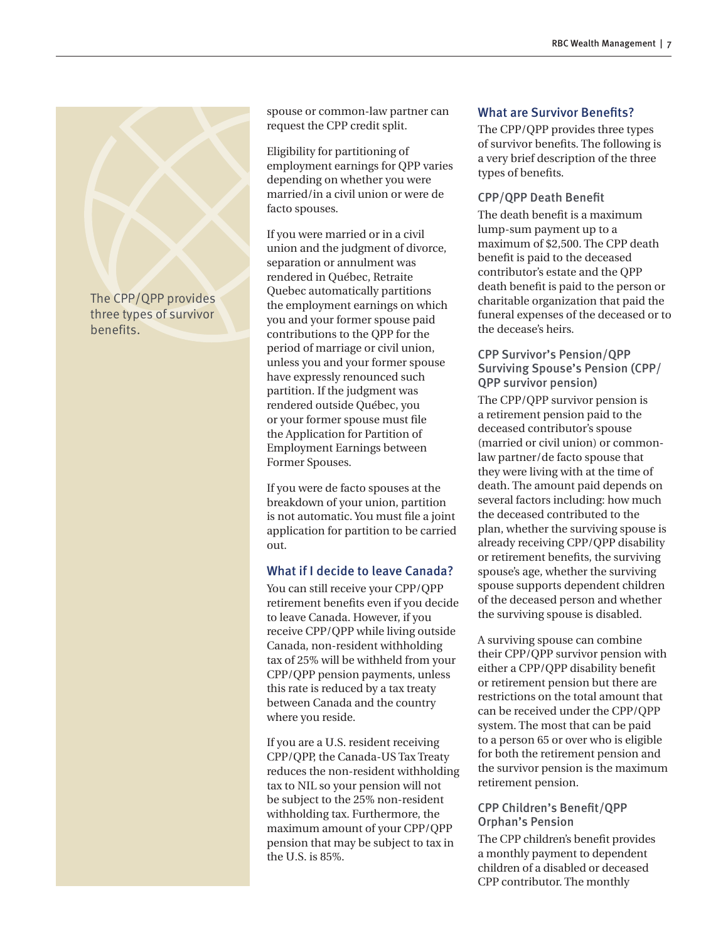

# benefits.

spouse or common-law partner can request the CPP credit split.

Eligibility for partitioning of employment earnings for QPP varies depending on whether you were married/in a civil union or were de facto spouses.

If you were married or in a civil union and the judgment of divorce, separation or annulment was rendered in Québec, Retraite Quebec automatically partitions the employment earnings on which you and your former spouse paid contributions to the QPP for the period of marriage or civil union, unless you and your former spouse have expressly renounced such partition. If the judgment was rendered outside Québec, you or your former spouse must file the Application for Partition of Employment Earnings between Former Spouses.

If you were de facto spouses at the breakdown of your union, partition is not automatic. You must file a joint application for partition to be carried out.

#### What if I decide to leave Canada?

You can still receive your CPP/QPP retirement benefits even if you decide to leave Canada. However, if you receive CPP/QPP while living outside Canada, non-resident withholding tax of 25% will be withheld from your CPP/QPP pension payments, unless this rate is reduced by a tax treaty between Canada and the country where you reside.

If you are a U.S. resident receiving CPP/QPP, the Canada-US Tax Treaty reduces the non-resident withholding tax to NIL so your pension will not be subject to the 25% non-resident withholding tax. Furthermore, the maximum amount of your CPP/QPP pension that may be subject to tax in the U.S. is 85%.

#### What are Survivor Benefits?

The CPP/QPP provides three types of survivor benefits. The following is a very brief description of the three types of benefits.

#### CPP/QPP Death Benefit

The death benefit is a maximum lump-sum payment up to a maximum of \$2,500. The CPP death benefit is paid to the deceased contributor's estate and the QPP death benefit is paid to the person or charitable organization that paid the funeral expenses of the deceased or to the decease's heirs.

#### CPP Survivor's Pension/QPP Surviving Spouse's Pension (CPP/ QPP survivor pension)

The CPP/QPP survivor pension is a retirement pension paid to the deceased contributor's spouse (married or civil union) or commonlaw partner/de facto spouse that they were living with at the time of death. The amount paid depends on several factors including: how much the deceased contributed to the plan, whether the surviving spouse is already receiving CPP/QPP disability or retirement benefits, the surviving spouse's age, whether the surviving spouse supports dependent children of the deceased person and whether the surviving spouse is disabled.

A surviving spouse can combine their CPP/QPP survivor pension with either a CPP/QPP disability benefit or retirement pension but there are restrictions on the total amount that can be received under the CPP/QPP system. The most that can be paid to a person 65 or over who is eligible for both the retirement pension and the survivor pension is the maximum retirement pension.

#### CPP Children's Benefit/QPP Orphan's Pension

The CPP children's benefit provides a monthly payment to dependent children of a disabled or deceased CPP contributor. The monthly